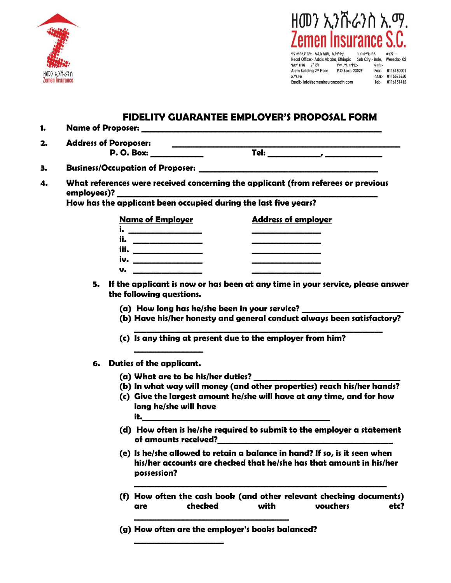



Head Office:- Addis Ababa, Ethiopia Sub City:- Bole, Wereda:- 02<br>ዓለም ሀንጻ 2<sup>5</sup> ፎቅ የ*መ.* ዋ. ቀጥር:- ፋክስ:-Alem Building 2<sup>nd</sup> Floor P.O.Box:- 23029 Fax:- 0116150001 **ኢ**ሜይል nAh:- 0115575850 Email:- info@zemeninsuranceeth.com Tel:- 0116151415

## **FIDELITY GUARANTEE EMPLOYER'S PROPOSAL FORM**

| 1. |                                                                                                                                                                                                                                                                                                                                                                                                |  |  |  |  |  |
|----|------------------------------------------------------------------------------------------------------------------------------------------------------------------------------------------------------------------------------------------------------------------------------------------------------------------------------------------------------------------------------------------------|--|--|--|--|--|
| 2. | <b>Address of Poroposer:</b>                                                                                                                                                                                                                                                                                                                                                                   |  |  |  |  |  |
| 3. |                                                                                                                                                                                                                                                                                                                                                                                                |  |  |  |  |  |
| 4. | What references were received concerning the applicant (from referees or previous                                                                                                                                                                                                                                                                                                              |  |  |  |  |  |
|    | How has the applicant been occupied during the last five years?                                                                                                                                                                                                                                                                                                                                |  |  |  |  |  |
|    | <b>Address of employer</b><br>Name of Employer<br><u>iii. ________________</u><br>iv. _________________<br>the control of the control of the control of the control of<br>$\mathsf{U}$ . $\qquad \qquad$<br>If the applicant is now or has been at any time in your service, please answer<br>5.<br>the following questions.<br>(a) How long has he/she been in your service? ________________ |  |  |  |  |  |
|    | (b) Have his/her honesty and general conduct always been satisfactory?<br>(c) Is any thing at present due to the employer from him?                                                                                                                                                                                                                                                            |  |  |  |  |  |
|    | 6. Duties of the applicant.                                                                                                                                                                                                                                                                                                                                                                    |  |  |  |  |  |
|    | (b) In what way will money (and other properties) reach his/her hands?<br>(c) Give the largest amount he/she will have at any time, and for how<br>long he/she will have<br>it.                                                                                                                                                                                                                |  |  |  |  |  |

- **(d) How often is he/she required to submit to the employer a statement of amounts received?\_\_\_\_\_\_\_\_\_\_\_\_\_\_\_\_\_\_\_\_\_\_\_\_\_\_\_\_\_\_\_\_\_\_\_\_\_\_\_\_\_\_\_**
- **(e) Is he/she allowed to retain a balance in hand? If so, is it seen when his/her accounts are checked that he/she has that amount in his/her possession?**

**\_\_\_\_\_\_\_\_\_\_\_\_\_\_\_\_\_\_\_\_\_\_\_\_\_\_\_\_\_\_\_\_\_\_\_\_\_\_\_\_\_\_\_\_\_\_\_\_\_\_\_\_\_\_\_\_\_\_\_\_\_\_**

- **(f) How often the cash book (and other relevant checking documents) are checked with vouchers etc? \_\_\_\_\_\_\_\_\_\_\_\_\_\_\_\_\_\_\_\_\_\_\_\_\_\_\_\_\_\_\_\_\_\_\_\_\_\_**
- **(g) How often are the employer's books balanced?**

**\_\_\_\_\_\_\_\_\_\_\_\_\_\_\_\_\_\_\_\_\_\_**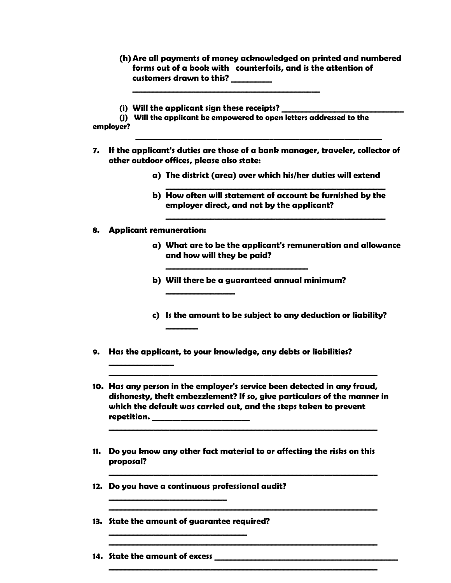- **(h)Are all payments of money acknowledged on printed and numbered forms out of a book with counterfoils, and is the attention of customers drawn to this? \_\_\_\_\_\_\_\_\_\_**
- **(i) Will the applicant sign these receipts? \_\_\_\_\_\_\_\_\_\_\_\_\_\_\_\_\_\_\_\_\_\_\_\_\_\_\_\_\_\_**

**(j) Will the applicant be empowered to open letters addressed to the employer?**

 **\_\_\_\_\_\_\_\_\_\_\_\_\_\_\_\_\_\_\_\_\_\_\_\_\_\_\_\_\_\_\_\_\_\_\_\_\_\_\_\_\_\_\_\_\_\_\_\_\_\_\_\_\_\_\_\_\_\_\_\_\_\_\_\_\_\_**

**\_\_\_\_\_\_\_\_\_\_\_\_\_\_\_\_\_\_\_\_\_\_\_\_\_\_\_\_\_\_\_\_\_\_\_\_\_\_\_\_\_\_\_\_\_\_**

- **7. If the applicant's duties are those of a bank manager, traveler, collector of other outdoor offices, please also state:**
	- **a) The district (area) over which his/her duties will extend**
	- **b) How often will statement of account be furnished by the employer direct, and not by the applicant?**

**\_\_\_\_\_\_\_\_\_\_\_\_\_\_\_\_\_\_\_\_\_\_\_\_\_\_\_\_\_\_\_\_\_\_\_\_\_\_\_\_\_\_\_\_\_\_\_\_\_\_\_\_\_\_**

**\_\_\_\_\_\_\_\_\_\_\_\_\_\_\_\_\_\_\_\_\_\_\_\_\_\_\_\_\_\_\_\_\_\_\_\_\_\_\_\_\_\_\_\_\_\_\_\_\_\_\_\_\_\_**

**8. Applicant remuneration:**

**\_\_\_\_\_\_\_\_\_\_\_\_\_\_\_\_**

- **a) What are to be the applicant's remuneration and allowance and how will they be paid?**
- **b) Will there be a guaranteed annual minimum?**

**\_\_\_\_\_\_\_\_\_\_\_\_\_\_\_\_\_\_\_\_\_\_\_\_\_\_\_\_\_\_\_\_\_\_\_**

- **c) Is the amount to be subject to any deduction or liability?**
- **9. Has the applicant, to your knowledge, any debts or liabilities?**

**\_\_\_\_\_\_\_\_\_\_\_\_\_\_\_\_\_**

**\_\_\_\_\_\_\_\_**

**10. Has any person in the employer's service been detected in any fraud, dishonesty, theft embezzlement? If so, give particulars of the manner in which the default was carried out, and the steps taken to prevent repetition. \_\_\_\_\_\_\_\_\_\_\_\_\_\_\_\_\_\_\_\_\_\_\_\_**

**\_\_\_\_\_\_\_\_\_\_\_\_\_\_\_\_\_\_\_\_\_\_\_\_\_\_\_\_\_\_\_\_\_\_\_\_\_\_\_\_\_\_\_\_\_\_\_\_\_\_\_\_\_\_\_\_\_\_\_\_\_\_\_\_\_\_**

**\_\_\_\_\_\_\_\_\_\_\_\_\_\_\_\_\_\_\_\_\_\_\_\_\_\_\_\_\_\_\_\_\_\_\_\_\_\_\_\_\_\_\_\_\_\_\_\_\_\_\_\_\_\_\_\_\_\_\_\_\_\_\_\_\_\_**

**\_\_\_\_\_\_\_\_\_\_\_\_\_\_\_\_\_\_\_\_\_\_\_\_\_\_\_\_\_\_\_\_\_\_\_\_\_\_\_\_\_\_\_\_\_\_\_\_\_\_\_\_\_\_\_\_\_\_\_\_\_\_\_\_\_\_**

**\_\_\_\_\_\_\_\_\_\_\_\_\_\_\_\_\_\_\_\_\_\_\_\_\_\_\_\_\_\_\_\_\_\_\_\_\_\_\_\_\_\_\_\_\_\_\_\_\_\_\_\_\_\_\_\_\_\_\_\_\_\_\_\_\_\_**

**\_\_\_\_\_\_\_\_\_\_\_\_\_\_\_\_\_\_\_\_\_\_\_\_\_\_\_\_\_\_\_\_\_\_\_\_\_\_\_\_\_\_\_\_\_\_\_\_\_\_\_\_\_\_\_\_\_\_\_\_\_\_\_\_\_\_**

**\_\_\_\_\_\_\_\_\_\_\_\_\_\_\_\_\_\_\_\_\_\_\_\_\_\_\_\_\_\_\_\_\_\_\_\_\_\_\_\_\_\_\_\_\_\_\_\_\_\_\_\_\_\_\_\_\_\_\_\_\_\_\_\_\_\_**

- **11. Do you know any other fact material to or affecting the risks on this proposal?**
- **12. Do you have a continuous professional audit?**
- **13. State the amount of guarantee required? \_\_\_\_\_\_\_\_\_\_\_\_\_\_\_\_\_\_\_\_\_\_\_\_\_\_\_\_\_\_\_\_\_\_**

**\_\_\_\_\_\_\_\_\_\_\_\_\_\_\_\_\_\_\_\_\_\_\_\_\_\_\_\_\_** 

**14. State the amount of excess \_\_\_\_\_\_\_\_\_\_\_\_\_\_\_\_\_\_\_\_\_\_\_\_\_\_\_\_\_\_\_\_\_\_\_\_\_\_\_\_\_\_\_\_\_**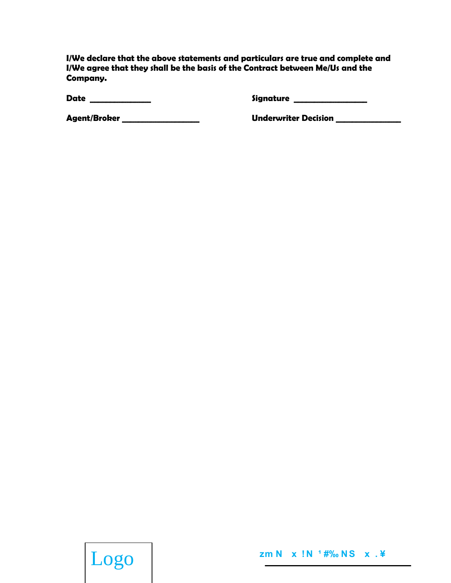I/We declare that the above statements and particulars are true and complete and I/We agree that they shall be the basis of the Contract between Me/Us and the Company.

Date \_\_\_\_\_\_\_\_\_\_\_\_

Signature \_\_\_\_\_\_\_\_\_\_\_\_\_\_\_

Agent/Broker \_\_\_\_\_\_\_\_\_\_\_\_\_\_\_\_

**Underwriter Decision** 

Logo

zm N x !N <sup>1</sup> #‰ NS x . \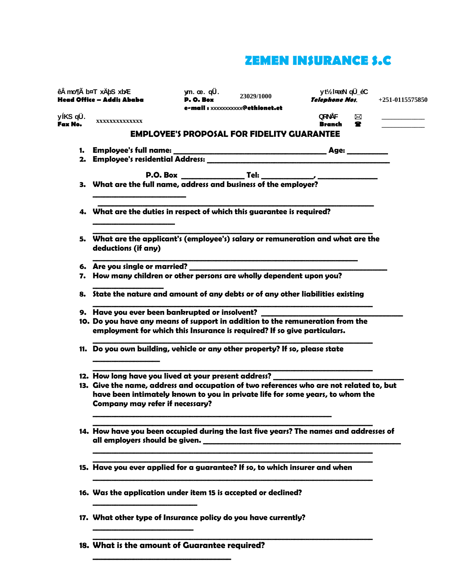## **ZEMEN INSURANCE S.C**

|                     | ê mo¶Ã b¤T xÄbS xb⁄E<br>Head Office - Addis Ababa                                                                                                                                                                                                                                    | ym. œ. qÜ.<br>D. O. Box | 23029/1000                                        | yt <sup>1</sup> / <sub>2</sub> l¤ bell qÜ_éC<br><b>Telephone Nos.</b> |        | $+251 - 0115575850$ |  |
|---------------------|--------------------------------------------------------------------------------------------------------------------------------------------------------------------------------------------------------------------------------------------------------------------------------------|-------------------------|---------------------------------------------------|-----------------------------------------------------------------------|--------|---------------------|--|
| yíKS qÜ.<br>Fax No. | XXXXXXXXXXXXXX                                                                                                                                                                                                                                                                       |                         | e-mail: xxxxxxxxxx <b>@ethionet.et</b>            | QRNÅF<br><b>Branch</b>                                                | ⊠<br>т |                     |  |
|                     |                                                                                                                                                                                                                                                                                      |                         | <b>EMPLOYEE'S PROPOSAL FOR FIDELITY GUARANTEE</b> |                                                                       |        |                     |  |
|                     | 2. Employee's residential Address:                                                                                                                                                                                                                                                   |                         |                                                   |                                                                       |        |                     |  |
|                     |                                                                                                                                                                                                                                                                                      |                         |                                                   |                                                                       |        |                     |  |
|                     | 4. What are the duties in respect of which this guarantee is required?                                                                                                                                                                                                               |                         |                                                   |                                                                       |        |                     |  |
|                     | 5. What are the applicant's (employee's) salary or remuneration and what are the<br>deductions (if any)                                                                                                                                                                              |                         |                                                   |                                                                       |        |                     |  |
|                     | 7. How many children or other persons are wholly dependent upon you?                                                                                                                                                                                                                 |                         |                                                   |                                                                       |        |                     |  |
|                     | 8. State the nature and amount of any debts or of any other liabilities existing                                                                                                                                                                                                     |                         |                                                   |                                                                       |        |                     |  |
|                     | 9. Have you ever been bankrupted or insolvent?<br>10. Do you have any means of support in addition to the remuneration from the<br>employment for which this Insurance is required? If so give particulars.                                                                          |                         |                                                   |                                                                       |        |                     |  |
|                     | 11. Do you own building, vehicle or any other property? If so, please state                                                                                                                                                                                                          |                         |                                                   |                                                                       |        |                     |  |
|                     | 12. How long have you lived at your present address? _________<br>13. Give the name, address and occupation of two references who are not related to, but<br>have been intimately known to you in private life for some years, to whom the<br><b>Company may refer if necessary?</b> |                         |                                                   |                                                                       |        |                     |  |
|                     | 14. How have you been occupied during the last five years? The names and addresses of                                                                                                                                                                                                |                         |                                                   |                                                                       |        |                     |  |
|                     | 15. Have you ever applied for a guarantee? If so, to which insurer and when                                                                                                                                                                                                          |                         |                                                   |                                                                       |        |                     |  |
|                     | 16. Was the application under item 15 is accepted or declined?                                                                                                                                                                                                                       |                         |                                                   |                                                                       |        |                     |  |
|                     | 17. What other type of Insurance policy do you have currently?                                                                                                                                                                                                                       |                         |                                                   |                                                                       |        |                     |  |
|                     | 18. What is the amount of Guarantee required?                                                                                                                                                                                                                                        |                         |                                                   |                                                                       |        |                     |  |

**\_\_\_\_\_\_\_\_\_\_\_\_\_\_\_\_\_\_\_\_\_\_\_\_\_\_\_\_\_\_\_\_\_\_**